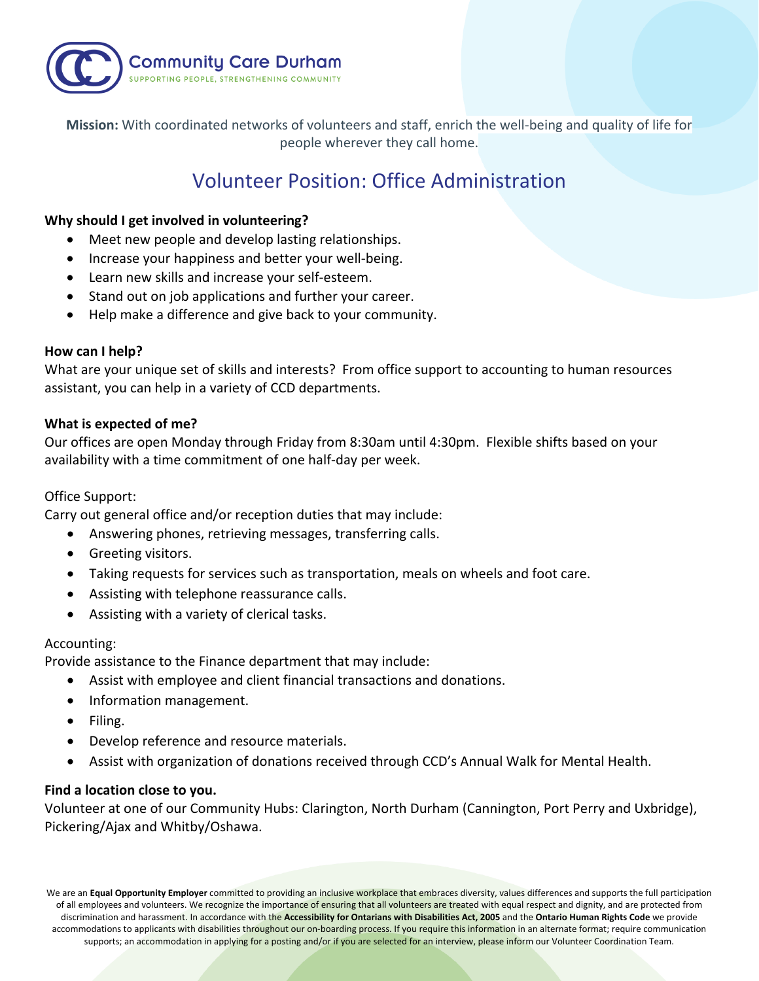

**Mission:** With coordinated networks of volunteers and staff, enrich the well-being and quality of life for people wherever they call home.

# Volunteer Position: Office Administration

# **Why should I get involved in volunteering?**

- Meet new people and develop lasting relationships.
- Increase your happiness and better your well-being.
- Learn new skills and increase your self-esteem.
- Stand out on job applications and further your career.
- Help make a difference and give back to your community.

# **How can I help?**

What are your unique set of skills and interests? From office support to accounting to human resources assistant, you can help in a variety of CCD departments.

# **What is expected of me?**

Our offices are open Monday through Friday from 8:30am until 4:30pm. Flexible shifts based on your availability with a time commitment of one half-day per week.

# Office Support:

Carry out general office and/or reception duties that may include:

- Answering phones, retrieving messages, transferring calls.
- Greeting visitors.
- Taking requests for services such as transportation, meals on wheels and foot care.
- Assisting with telephone reassurance calls.
- Assisting with a variety of clerical tasks.

# Accounting:

Provide assistance to the Finance department that may include:

- Assist with employee and client financial transactions and donations.
- Information management.
- Filing.
- Develop reference and resource materials.
- Assist with organization of donations received through CCD's Annual Walk for Mental Health.

# **Find a location close to you.**

Volunteer at one of our Community Hubs: Clarington, North Durham (Cannington, Port Perry and Uxbridge), Pickering/Ajax and Whitby/Oshawa.

We are an **Equal Opportunity Employer** committed to providing an inclusive workplace that embraces diversity, values differences and supports the full participation of all employees and volunteers. We recognize the importance of ensuring that all volunteers are treated with equal respect and dignity, and are protected from discrimination and harassment. In accordance with the **Accessibility for Ontarians with Disabilities Act, 2005** and the **Ontario Human Rights Code** we provide accommodations to applicants with disabilities throughout our on-boarding process. If you require this information in an alternate format; require communication supports; an accommodation in applying for a posting and/or if you are selected for an interview, please inform our Volunteer Coordination Team.